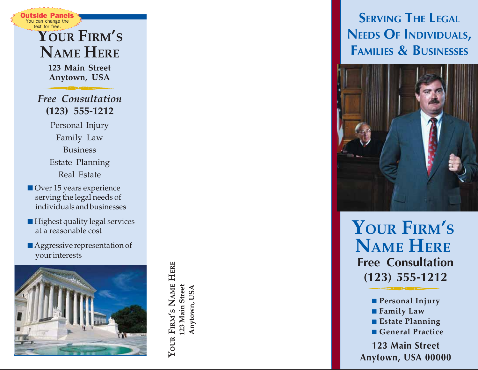### **YOUR FIRM ' S NAME HERE** You can change the text for free.

utside Pane

**123 Main Street Anytown, USA**

*Free Consultation* **(123) 555-1212**

- Personal Injury Family Law Business Estate Planning Real Estate
- Over 15 years experience serving the legal needs of individuals and businesses
- Highest quality legal services at a reasonable cost
- Aggressive representation of your interests

YOUR FIRM'S NAME HERE **YOUR FIRM'S NAME HERE** 123 Main Street **123 Main Street** Anytown, USA **Anytown, USA**

# **NEEDS O F INDIVIDUALS , FAMILIES & BUSINESSES**



**YOUR FIRM ' S NAME HERE Free Consultation**

**123 Main Street** ■ **Personal Injury<br>■ <b>Family Law**<br>■ Estate Planning<br>■ General Practice<br>123 Main Street<br>Anytown, USA 00000